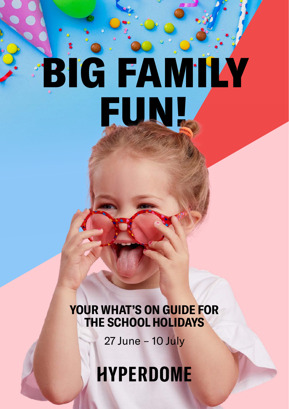# BIG FAMILY FUN!

# **YOUR WHAT'S ON GUIDE FOR THE SCHOOL HOLIDAYS**

27 June – 10 July

**HYPERDOME**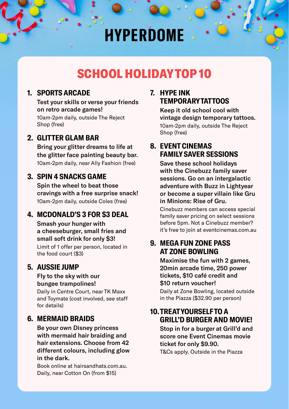# **HYPERDOME**

# SCHOOL HOLIDAY TOP 10

# **1. SPORTS ARCADE**

 Test your skills or verse your friends on retro arcade games! 10am-2pm daily, outside The Reject Shop (free)

# **2. GLITTER GLAM BAR**

 Bring your glitter dreams to life at the glitter face painting beauty bar. 10am-2pm daily, near Ally Fashion (free)

# **3. SPIN 4 SNACKS GAME**

 Spin the wheel to beat those cravings with a free surprise snack! 10am-2pm daily, outside Coles (free)

# **4. MCDONALD'S 3 FOR \$3 DEAL**

 Smash your hunger with a cheeseburger, small fries and small soft drink for only \$3!

 Limit of 1 offer per person, located in the food court (\$3)

# **5. AUSSIE JUMP**

### Fly to the sky with our bungee trampolines!

 Daily in Centre Court, near TK Maxx and Toymate (cost involved, see staff for details)

# **6. MERMAID BRAIDS**

 Be your own Disney princess with mermaid hair braiding and hair extensions. Choose from 42 different colours, including glow in the dark.

 Book online at hairsandhats.com.au. Daily, near Cotton On (from \$15)

# **7. HYPE INK TEMPORARY TATTOOS**

 Keep it old school cool with vintage design temporary tattoos. 10am-2pm daily, outside The Reject Shop (free)

# **8. EVENT CINEMAS FAMILY SAVER SESSIONS**

 Save these school holidays with the Cinebuzz family saver sessions. Go on an intergalactic adventure with Buzz in Lightyear or become a super villain like Gru in Minions: Rise of Gru.

 Cinebuzz members can access special family saver pricing on select sessions before 5pm. Not a Cinebuzz member? it's free to join at eventcinemas.com.au

# **9. MEGA FUN ZONE PASS AT ZONE BOWLING**

 Maximise the fun with 2 games, 20min arcade time, 250 power tickets, \$10 café credit and \$10 return voucher!

 Daily at Zone Bowling, located outside in the Piazza (\$32.90 per person)

# **10. TREAT YOURSELF TO A GRILL'D BURGER AND MOVIE!**

 Stop in for a burger at Grill'd and score one Event Cinemas movie ticket for only \$9.90.

T&Cs apply. Outside in the Piazza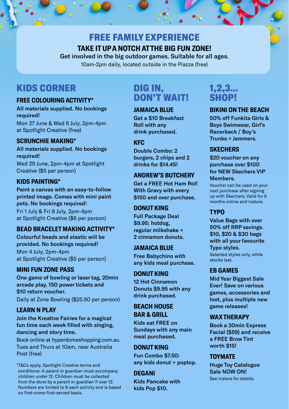# FREE FAMILY EXPERIENCE **TAKE IT UP A NOTCH AT THE BIG FUN ZONE!**

Get involved in the big outdoor games. Suitable for all ages. 10am-2pm daily, located outside in the Piazza (free)

# KIDS CORNER

### **FREE COLOURING ACTIVITY\***

All materials supplied. No bookings required! Mon 27 June & Wed 6 July, 2pm-4pm

at Spotlight Creative (free)

# **SCRUNCHIE MAKING\***

All materials supplied. No bookings required! Wed 29 June, 2pm-4pm at Spotlight Creative (\$5 per person)

### **KIDS PAINTING\***

Paint a canvas with an easy-to-follow printed image. Comes with mini paint pots. No bookings required! Fri 1 July & Fri 8 July, 2pm-4pm at Spotlight Creative (\$6 per person)

### **BEAD BRACELET MAKING ACTIVITY\***

Colourful beads and elastic will be provided. No bookings required! Mon 4 July, 2pm-4pm at Spotlight Creative (\$5 per person)

# **MINI FUN ZONE PASS**

One game of bowling or laser tag, 20min arcade play, 150 power tickets and \$10 return voucher. Daily at Zone Bowling (\$25.90 per person)

# **LEARN N PLAY**

Join the Kreative Fairies for a magical fun time each week filled with singing, dancing and story time.

Book online at hyperdomeshopping.com.au. Tues and Thurs at 10am, near Australia Post (free)

\*T&Cs apply. Spotlight Creative terms and conditions: A parent or guardian must accompany children under 12. Children must be collected from the store by a parent or guardian if over 12. Numbers are limited to 8 each activity and is based on first-come-first-served basis.

# DIG IN, DON'T WAIT!

### **JAMAICA BLUE**

Get a \$10 Breakfast Roll with any drink purchased.

# **KFC**

Double Combo: 2 burgers, 2 chips and 2 drinks for \$14.45!

# **ANDREW'S BUTCHERY**

Get a FREE Hot Ham Roll With Gravy with every \$150 and over purchase.

### **DONUT KING**

Full Package Deal \$9.95: hotdog, regular milkshake + 2 cinnamon donuts.

### **JAMAICA BLUE**

Free Babychino with any kids meal purchase.

### **DONUT KING**

12 Hot Cinnamon Donuts \$9.95 with any drink purchased.

### **BEACH HOUSE BAR & GRILL**

Kids eat FREE on Sundays with any main meal purchased.

# **DONUT KING**

Fun Combo \$7.50: any kids donut + poptop.

# **DEGANI**

Kids Pancake with kids Pop \$10.

# 1,2,3… SHOP!

# **BIKINI ON THE BEACH**

50% off Funkita Girls & Boys Swimwear, Girl's Racerback / Boy's Trunks + Jammers.

# **SKECHERS**

\$20 voucher on any purchase over \$100 for NEW Skechers VIP Members.

Voucher can be used on your next purchase after signing up with Skechers. Valid for 6 months online and instore.

# **TYPO**

Value Bags with over 50% off RRP savings. \$10, \$20 & \$30 bags with all your favourite Typo styles. Selected styles only, while stocks last.

### **EB GAMES**

Mid Year Biggest Sale Ever! Save on various games, accessories and loot, plus multiple new game releases!

### **WAX THERAPY**

Book a 30min Express Facial (\$59) and receive a FREE Brow Tint worth \$15!

# **TOYMATE**

Huge Toy Catalogue Sale NOW ON! See instore for details.